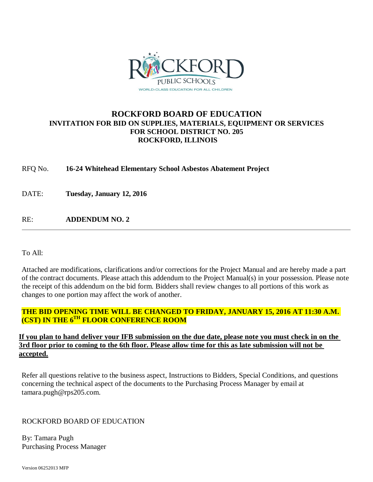

## **ROCKFORD BOARD OF EDUCATION INVITATION FOR BID ON SUPPLIES, MATERIALS, EQUIPMENT OR SERVICES FOR SCHOOL DISTRICT NO. 205 ROCKFORD, ILLINOIS**

RFQ No. **16-24 Whitehead Elementary School Asbestos Abatement Project**

DATE: **Tuesday, January 12, 2016**

RE: **ADDENDUM NO. 2**

To All:

Attached are modifications, clarifications and/or corrections for the Project Manual and are hereby made a part of the contract documents. Please attach this addendum to the Project Manual(s) in your possession. Please note the receipt of this addendum on the bid form. Bidders shall review changes to all portions of this work as changes to one portion may affect the work of another.

## **THE BID OPENING TIME WILL BE CHANGED TO FRIDAY, JANUARY 15, 2016 AT 11:30 A.M. (CST) IN THE 6TH FLOOR CONFERENCE ROOM**

### **If you plan to hand deliver your IFB submission on the due date, please note you must check in on the 3rd floor prior to coming to the 6th floor. Please allow time for this as late submission will not be accepted.**

Refer all questions relative to the business aspect, Instructions to Bidders, Special Conditions, and questions concerning the technical aspect of the documents to the Purchasing Process Manager by email at tamara.pugh@rps205.com.

ROCKFORD BOARD OF EDUCATION

By: Tamara Pugh Purchasing Process Manager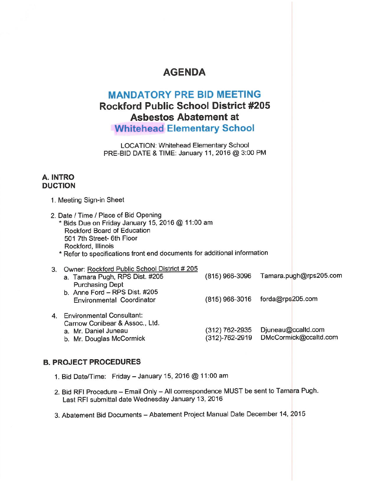# **AGENDA**

# **MANDATORY PRE BID MEETING Rockford Public School District #205 Asbestos Abatement at Whitehead Elementary School**

**LOCATION: Whitehead Elementary School** PRE-BID DATE & TIME: January 11, 2016 @ 3:00 PM

### A. INTRO **DUCTION**

|                                                                                                                                                                                                                                                         | UUIIUN                                                                                                             |                                  |                                             |  |
|---------------------------------------------------------------------------------------------------------------------------------------------------------------------------------------------------------------------------------------------------------|--------------------------------------------------------------------------------------------------------------------|----------------------------------|---------------------------------------------|--|
|                                                                                                                                                                                                                                                         | 1. Meeting Sign-in Sheet                                                                                           |                                  |                                             |  |
| 2. Date / Time / Place of Bid Opening<br>* Bids Due on Friday January 15, 2016 @ 11:00 am<br>Rockford Board of Education<br>501 7th Street- 6th Floor<br>Rockford, Illinois<br>* Refer to specifications front end documents for additional information |                                                                                                                    |                                  |                                             |  |
| 3.                                                                                                                                                                                                                                                      | Owner: Rockford Public School District # 205<br>a. Tamara Pugh, RPS Dist. #205<br><b>Purchasing Dept</b>           | (815) 966-3096                   | Tamara.pugh@rps205.com                      |  |
|                                                                                                                                                                                                                                                         | b. Anne Ford - RPS Dist. #205<br><b>Environmental Coordinator</b>                                                  | (815) 966-3016                   | forda@rps205.com                            |  |
|                                                                                                                                                                                                                                                         | 4. Environmental Consultant:<br>Carnow Conibear & Assoc., Ltd.<br>a. Mr. Daniel Juneau<br>b. Mr. Douglas McCormick | (312) 762-2935<br>(312)-762-2919 | Djuneau@ccaltd.com<br>DMcCormick@ccaltd.com |  |
|                                                                                                                                                                                                                                                         |                                                                                                                    |                                  |                                             |  |

### **B. PROJECT PROCEDURES**

- 1. Bid Date/Time: Friday January 15, 2016 @ 11:00 am
- 2. Bid RFI Procedure Email Only All correspondence MUST be sent to Tamara Pugh. Last RFI submittal date Wednesday January 13, 2016
- 3. Abatement Bid Documents Abatement Project Manual Date December 14, 2015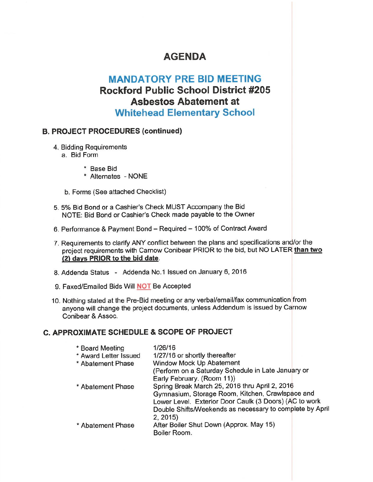# **AGENDA**

# **MANDATORY PRE BID MEETING Rockford Public School District #205 Asbestos Abatement at Whitehead Elementary School**

### **B. PROJECT PROCEDURES (continued)**

- 4. Bidding Requirements
	- a. Bid Form
		- \* Base Bid
		- \* Alternates NONE
	- b. Forms (See attached Checklist)
- 5. 5% Bid Bond or a Cashier's Check MUST Accompany the Bid NOTE: Bid Bond or Cashier's Check made payable to the Owner
- 6. Performance & Payment Bond Required 100% of Contract Award
- 7. Requirements to clarify ANY conflict between the plans and specifications and/or the project requirements with Carnow Conibear PRIOR to the bid, but NO LATER than two (2) days PRIOR to the bid date.
- 8. Addenda Status Addenda No.1 Issued on January 6, 2016
- 9. Faxed/Emailed Bids Will **NOT** Be Accepted
- 10. Nothing stated at the Pre-Bid meeting or any verbal/email/fax communication from anyone will change the project documents, unless Addendum is issued by Carnow Conibear & Assoc.

### C. APPROXIMATE SCHEDULE & SCOPE OF PROJECT

| * Board Meeting       | 1/26/16                                                  |
|-----------------------|----------------------------------------------------------|
| * Award Letter Issued | 1/27/16 or shortly thereafter                            |
| * Abatement Phase     | Window Mock Up Abatement                                 |
|                       | (Perform on a Saturday Schedule in Late January or       |
|                       | Early February. (Room 11))                               |
| * Abatement Phase     | Spring Break March 25, 2016 thru April 2, 2016           |
|                       | Gymnasium, Storage Room, Kitchen, Crawlspace and         |
|                       | Lower Level. Exterior Door Caulk (3 Doors) (AC to work   |
|                       | Double Shifts/Weekends as necessary to complete by April |
|                       | 2, 2015                                                  |
| * Abatement Phase     | After Boiler Shut Down (Approx. May 15)                  |
|                       | Boiler Room.                                             |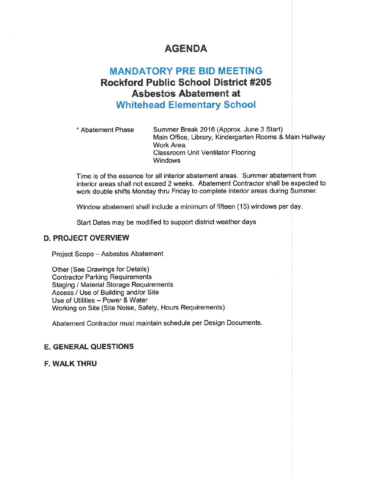# **AGENDA**

# **MANDATORY PRE BID MEETING Rockford Public School District #205 Asbestos Abatement at Whitehead Elementary School**

\* Abatement Phase Summer Break 2016 (Approx. June 3 Start) Main Office, Library, Kindergarten Rooms & Main Hallway Work Area. **Classroom Unit Ventilator Flooring Windows** 

Time is of the essence for all interior abatement areas. Summer abatement from interior areas shall not exceed 2 weeks. Abatement Contractor shall be expected to work double shifts Monday thru Friday to complete interior areas during Summer.

Window abatement shall include a minimum of fifteen (15) windows per day.

Start Dates may be modified to support district weather days

#### **D. PROJECT OVERVIEW**

Project Scope - Asbestos Abatement

Other (See Drawings for Details) **Contractor Parking Requirements Staging / Material Storage Requirements** Access / Use of Building and/or Site Use of Utilities - Power & Water Working on Site (Site Noise, Safety, Hours Requirements)

Abatement Contractor must maintain schedule per Design Documents.

### **E. GENERAL QUESTIONS**

**F. WALK THRU**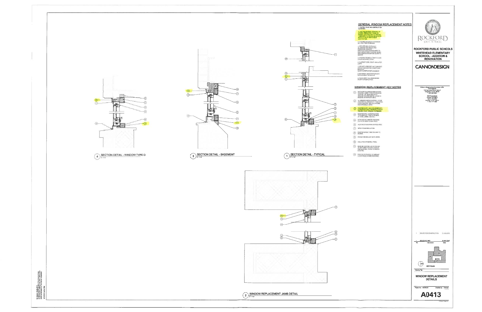



Carron Cesar 2014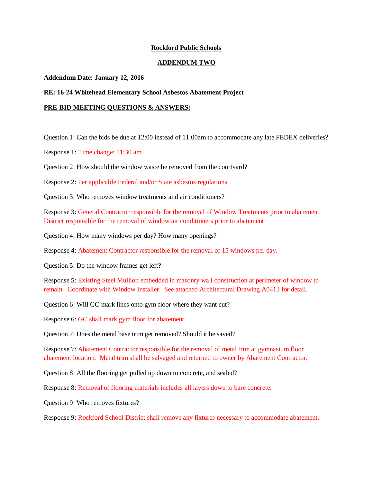#### **Rockford Public Schools**

#### **ADDENDUM TWO**

#### **Addendum Date: January 12, 2016**

#### **RE: 16-24 Whitehead Elementary School Asbestos Abatement Project**

#### **PRE-BID MEETING QUESTIONS & ANSWERS:**

Question 1: Can the bids be due at 12:00 instead of 11:00am to accommodate any late FEDEX deliveries?

Response 1: Time change: 11:30 am

Question 2: How should the window waste be removed from the courtyard?

Response 2: Per applicable Federal and/or State asbestos regulations

Question 3: Who removes window treatments and air conditioners?

Response 3: General Contractor responsible for the removal of Window Treatments prior to abatement, District responsible for the removal of window air conditioners prior to abatement

Question 4: How many windows per day? How many openings?

Response 4: Abatement Contractor responsible for the removal of 15 windows per day.

Question 5: Do the window frames get left?

Response 5: Existing Steel Mullion embedded in masonry wall construction at perimeter of window to remain. Coordinate with Window Installer. See attached Architectural Drawing A0413 for detail.

Question 6: Will GC mark lines onto gym floor where they want cut?

Response 6: GC shall mark gym floor for abatement

Question 7: Does the metal base trim get removed? Should it be saved?

Response 7: Abatement Contractor responsible for the removal of metal trim at gymnasium floor abatement location. Metal trim shall be salvaged and returned to owner by Abatement Contractor.

Question 8: All the flooring get pulled up down to concrete, and sealed?

Response 8: Removal of flooring materials includes all layers down to bare concrete.

Question 9: Who removes fixtures?

Response 9: Rockford School District shall remove any fixtures necessary to accommodate abatement.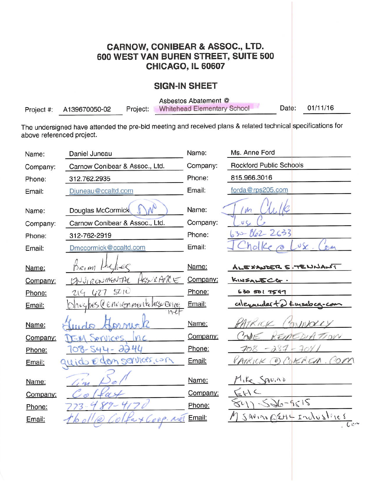# **CARNOW, CONIBEAR & ASSOC., LTD.** 600 WEST VAN BUREN STREET, SUITE 500 CHICAGO, IL 60607

## **SIGN-IN SHEET**

Asbestos Abatement @

**Whitehead Elementary School** Project:

01/11/16 Date:

 $\mathcal{A}_{\mathbf{w}}$ 

The undersigned have attended the pre-bid meeting and received plans & related technical specifications for above referenced project.

Project #:

A139670050-02

| Name:    | Daniel Juneau                                   | Name:    | Ms. Anne Ford                                |
|----------|-------------------------------------------------|----------|----------------------------------------------|
| Company: | Carnow Conibear & Assoc., Ltd.                  | Company: | <b>Rockford Public Schools</b>               |
| Phone:   | 312.762.2935                                    | Phone:   | 815.966.3016                                 |
| Email:   | Djuneau@ccaltd.com                              | Email:   | forda@rps205.com                             |
| Name:    | Douglas McCormick                               | Name:    |                                              |
| Company: | Carnow Conibear & Assoc., Ltd.                  | Company: |                                              |
| Phone:   | 312-762-2919                                    | Phone:   | $630 - 862 - 2633$                           |
| Email:   | Dmccormick@ccaltd.com                           | Email:   | $\sqrt{\varkappa}$<br>0.01                   |
| Name:    | ec<br>$2a_1$ and                                | Name:    | ALEXANDER E. TENNANT                         |
| Company: | HESURANCE<br>NUIRONMENTAL                       | Company: | KINSALECG.                                   |
| Phone:   | 501<br>427<br>219                               | Phone:   | 6305017597                                   |
| Email:   | $h$ ughes $(\ell \ell n \ell n)$ mentalasy Ence | Email:   | calexander to tursdoca-co                    |
| Name:    |                                                 | Name:    | $1K$ KKK<br>MN                               |
| Company: | Prilices.<br>M                                  | Company: | 10VV<br>7.111                                |
| Phone:   | $\partial\partial\mathcal{H}$<br>544            | Phone:   | 287                                          |
| Email:   | ido eden services con                           | Email:   | OCORENEA<br>on<br>PATRICK                    |
| Name:    | 1.41                                            | Name:    | Mike SAVINO                                  |
| Company: |                                                 | Company: | $= k \cdot k$                                |
| Phone:   |                                                 | Phone:   | $-526 - 9615$<br>801                         |
| Email:   |                                                 | Email:   | $S$ AVINO ESEMY INDUSTICES<br>$\overline{C}$ |